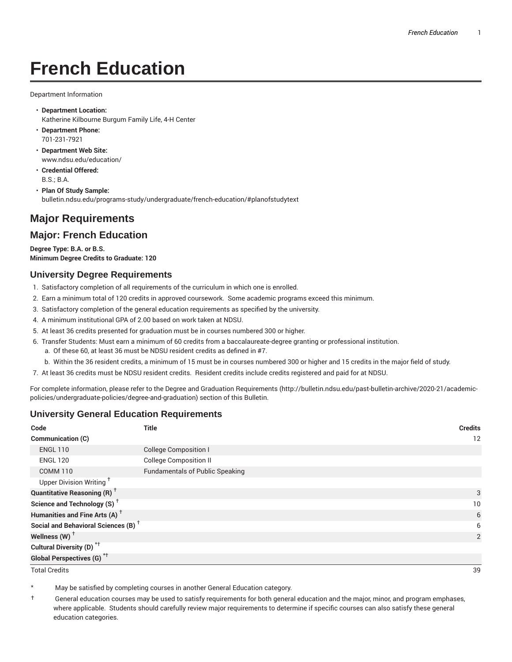# **French Education**

Department Information

- **Department Location:** Katherine Kilbourne Burgum Family Life, 4-H Center
- **Department Phone:** 701-231-7921
- **Department Web Site:** www.ndsu.edu/education/
- **Credential Offered:** B.S.; B.A.
- **Plan Of Study Sample:** bulletin.ndsu.edu/programs-study/undergraduate/french-education/#planofstudytext

### **Major Requirements**

#### **Major: French Education**

**Degree Type: B.A. or B.S. Minimum Degree Credits to Graduate: 120**

#### **University Degree Requirements**

- 1. Satisfactory completion of all requirements of the curriculum in which one is enrolled.
- 2. Earn a minimum total of 120 credits in approved coursework. Some academic programs exceed this minimum.
- 3. Satisfactory completion of the general education requirements as specified by the university.
- 4. A minimum institutional GPA of 2.00 based on work taken at NDSU.
- 5. At least 36 credits presented for graduation must be in courses numbered 300 or higher.
- 6. Transfer Students: Must earn a minimum of 60 credits from a baccalaureate-degree granting or professional institution.
	- a. Of these 60, at least 36 must be NDSU resident credits as defined in #7.
	- b. Within the 36 resident credits, a minimum of 15 must be in courses numbered 300 or higher and 15 credits in the major field of study.
- 7. At least 36 credits must be NDSU resident credits. Resident credits include credits registered and paid for at NDSU.

For complete information, please refer to the Degree and Graduation Requirements (http://bulletin.ndsu.edu/past-bulletin-archive/2020-21/academicpolicies/undergraduate-policies/degree-and-graduation) section of this Bulletin.

#### **University General Education Requirements**

| Code                                            | <b>Title</b>                           | <b>Credits</b>  |
|-------------------------------------------------|----------------------------------------|-----------------|
| Communication (C)                               |                                        | 12              |
| <b>ENGL 110</b>                                 | <b>College Composition I</b>           |                 |
| <b>ENGL 120</b>                                 | <b>College Composition II</b>          |                 |
| <b>COMM 110</b>                                 | <b>Fundamentals of Public Speaking</b> |                 |
| Upper Division Writing <sup>+</sup>             |                                        |                 |
| <b>Quantitative Reasoning (R)</b> <sup>†</sup>  |                                        | 3               |
| Science and Technology (S) <sup>+</sup>         |                                        | 10 <sup>°</sup> |
| Humanities and Fine Arts (A) <sup>+</sup>       |                                        | 6               |
| Social and Behavioral Sciences (B) <sup>+</sup> |                                        | 6               |
| Wellness (W) $^{\dagger}$                       |                                        | 2               |
| Cultural Diversity (D) <sup>*†</sup>            |                                        |                 |
| <b>Global Perspectives (G)<sup>*†</sup></b>     |                                        |                 |

Total Credits 39

May be satisfied by completing courses in another General Education category.

† General education courses may be used to satisfy requirements for both general education and the major, minor, and program emphases, where applicable. Students should carefully review major requirements to determine if specific courses can also satisfy these general education categories.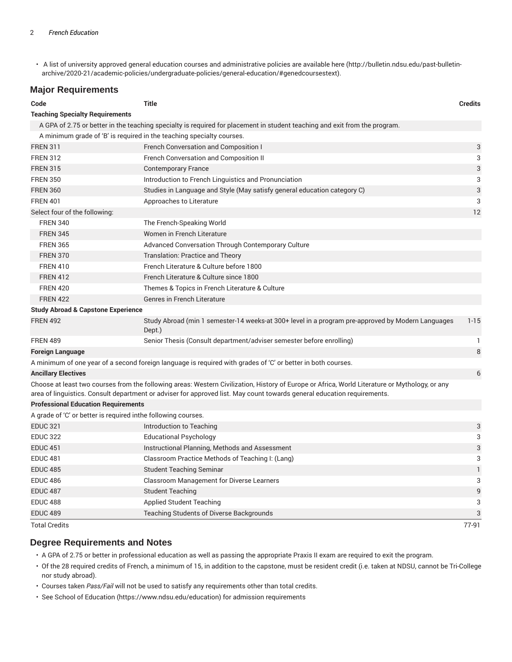• A list of university approved general education courses and administrative policies are available here (http://bulletin.ndsu.edu/past-bulletinarchive/2020-21/academic-policies/undergraduate-policies/general-education/#genedcoursestext).

#### **Major Requirements**

| .                                                             |                                                                                                                                                                                                                                                                           |                           |
|---------------------------------------------------------------|---------------------------------------------------------------------------------------------------------------------------------------------------------------------------------------------------------------------------------------------------------------------------|---------------------------|
| Code                                                          | <b>Title</b>                                                                                                                                                                                                                                                              | Credits                   |
| <b>Teaching Specialty Requirements</b>                        |                                                                                                                                                                                                                                                                           |                           |
|                                                               | A GPA of 2.75 or better in the teaching specialty is required for placement in student teaching and exit from the program.                                                                                                                                                |                           |
|                                                               | A minimum grade of 'B' is required in the teaching specialty courses.                                                                                                                                                                                                     |                           |
| <b>FREN 311</b>                                               | <b>French Conversation and Composition I</b>                                                                                                                                                                                                                              | 3                         |
| <b>FREN 312</b>                                               | French Conversation and Composition II                                                                                                                                                                                                                                    | 3                         |
| <b>FREN 315</b>                                               | <b>Contemporary France</b>                                                                                                                                                                                                                                                | $\ensuremath{\mathsf{3}}$ |
| <b>FREN 350</b>                                               | Introduction to French Linguistics and Pronunciation                                                                                                                                                                                                                      | 3                         |
| <b>FREN 360</b>                                               | Studies in Language and Style (May satisfy general education category C)                                                                                                                                                                                                  | 3                         |
| <b>FREN 401</b>                                               | Approaches to Literature                                                                                                                                                                                                                                                  | 3                         |
| Select four of the following:                                 |                                                                                                                                                                                                                                                                           | 12                        |
| <b>FREN 340</b>                                               | The French-Speaking World                                                                                                                                                                                                                                                 |                           |
| <b>FREN 345</b>                                               | Women in French Literature                                                                                                                                                                                                                                                |                           |
| <b>FREN 365</b>                                               | Advanced Conversation Through Contemporary Culture                                                                                                                                                                                                                        |                           |
| <b>FREN 370</b>                                               | Translation: Practice and Theory                                                                                                                                                                                                                                          |                           |
| <b>FREN 410</b>                                               | French Literature & Culture before 1800                                                                                                                                                                                                                                   |                           |
| <b>FREN 412</b>                                               | French Literature & Culture since 1800                                                                                                                                                                                                                                    |                           |
| <b>FREN 420</b>                                               | Themes & Topics in French Literature & Culture                                                                                                                                                                                                                            |                           |
| <b>FREN 422</b>                                               | Genres in French Literature                                                                                                                                                                                                                                               |                           |
| <b>Study Abroad &amp; Capstone Experience</b>                 |                                                                                                                                                                                                                                                                           |                           |
| <b>FREN 492</b>                                               | Study Abroad (min 1 semester-14 weeks-at 300+ level in a program pre-approved by Modern Languages<br>Dept.)                                                                                                                                                               | $1 - 15$                  |
| <b>FREN 489</b>                                               | Senior Thesis (Consult department/adviser semester before enrolling)                                                                                                                                                                                                      | -1                        |
| <b>Foreign Language</b>                                       |                                                                                                                                                                                                                                                                           | 8                         |
|                                                               | A minimum of one year of a second foreign language is required with grades of 'C' or better in both courses.                                                                                                                                                              |                           |
| <b>Ancillary Electives</b>                                    |                                                                                                                                                                                                                                                                           | 6                         |
|                                                               | Choose at least two courses from the following areas: Western Civilization, History of Europe or Africa, World Literature or Mythology, or any<br>area of linguistics. Consult department or adviser for approved list. May count towards general education requirements. |                           |
| <b>Professional Education Requirements</b>                    |                                                                                                                                                                                                                                                                           |                           |
| A grade of 'C' or better is required inthe following courses. |                                                                                                                                                                                                                                                                           |                           |
| <b>EDUC 321</b>                                               | Introduction to Teaching                                                                                                                                                                                                                                                  | 3                         |
| <b>EDUC 322</b>                                               | <b>Educational Psychology</b>                                                                                                                                                                                                                                             | 3                         |
| <b>EDUC 451</b>                                               | Instructional Planning, Methods and Assessment                                                                                                                                                                                                                            | $\sqrt{3}$                |
| <b>EDUC 481</b>                                               | Classroom Practice Methods of Teaching I: (Lang)                                                                                                                                                                                                                          | 3                         |
| <b>EDUC 485</b>                                               | <b>Student Teaching Seminar</b>                                                                                                                                                                                                                                           | $\mathbf{1}$              |
| <b>EDUC 486</b>                                               | Classroom Management for Diverse Learners                                                                                                                                                                                                                                 | 3                         |
| <b>EDUC 487</b>                                               | <b>Student Teaching</b>                                                                                                                                                                                                                                                   | $\mathsf g$               |
| <b>EDUC 488</b>                                               | <b>Applied Student Teaching</b>                                                                                                                                                                                                                                           | 3                         |
| <b>EDUC 489</b>                                               | Teaching Students of Diverse Backgrounds                                                                                                                                                                                                                                  | 3                         |
| <b>Total Credits</b>                                          |                                                                                                                                                                                                                                                                           | 77-91                     |

## **Degree Requirements and Notes**

• A GPA of 2.75 or better in professional education as well as passing the appropriate Praxis II exam are required to exit the program.

• Of the 28 required credits of French, a minimum of 15, in addition to the capstone, must be resident credit (i.e. taken at NDSU, cannot be Tri-College nor study abroad).

• Courses taken *Pass/Fail* will not be used to satisfy any requirements other than total credits.

• See School of Education (https://www.ndsu.edu/education) for admission requirements